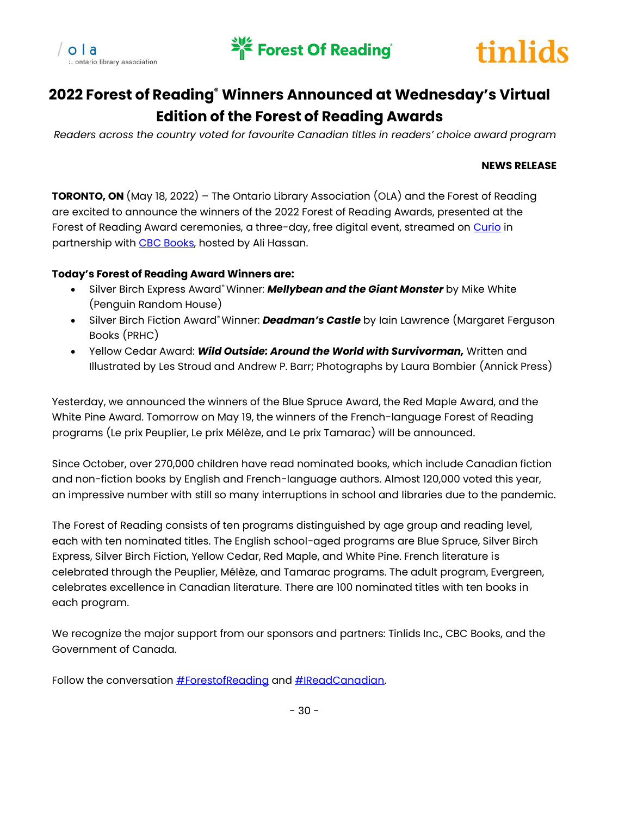





# **2022 Forest of Reading® Winners Announced at Wednesday's Virtual Edition of the Forest of Reading Awards**

*Readers across the country voted for favourite Canadian titles in readers' choice award program*

### **NEWS RELEASE**

**TORONTO, ON** (May 18, 2022) – The Ontario Library Association (OLA) and the Forest of Reading are excited to announce the winners of the 2022 Forest of Reading Awards, presented at the Forest of Reading Award ceremonies, a three-day, free digital event, streamed on [Curio](https://curio.ca/en/collection/forest-of-reading-2020-2822/) in partnership wit[h CBC Books,](https://www.cbc.ca/books) hosted by Ali Hassan.

### **Today's Forest of Reading Award Winners are:**

- Silver Birch Express Award® Winner: *Mellybean and the Giant Monster* by Mike White (Penguin Random House)
- Silver Birch Fiction Award® Winner: *Deadman's Castle* by Iain Lawrence (Margaret Ferguson Books (PRHC)
- Yellow Cedar Award: *Wild Outside: Around the World with Survivorman,* Written and Illustrated by Les Stroud and Andrew P. Barr; Photographs by Laura Bombier (Annick Press)

Yesterday, we announced the winners of the Blue Spruce Award, the Red Maple Award, and the White Pine Award. Tomorrow on May 19, the winners of the French-language Forest of Reading programs (Le prix Peuplier, Le prix Mélèze, and Le prix Tamarac) will be announced.

Since October, over 270,000 children have read nominated books, which include Canadian fiction and non-fiction books by English and French-language authors. Almost 120,000 voted this year, an impressive number with still so many interruptions in school and libraries due to the pandemic.

The Forest of Reading consists of ten programs distinguished by age group and reading level, each with ten nominated titles. The English school-aged programs are Blue Spruce, Silver Birch Express, Silver Birch Fiction, Yellow Cedar, Red Maple, and White Pine. French literature is celebrated through the Peuplier, Mélèze, and Tamarac programs. The adult program, Evergreen, celebrates excellence in Canadian literature. There are 100 nominated titles with ten books in each program.

We recognize the major support from our sponsors and partners: Tinlids Inc., CBC Books, and the Government of Canada.

Follow the conversation **#ForestofReading** and **#IReadCanadian**.